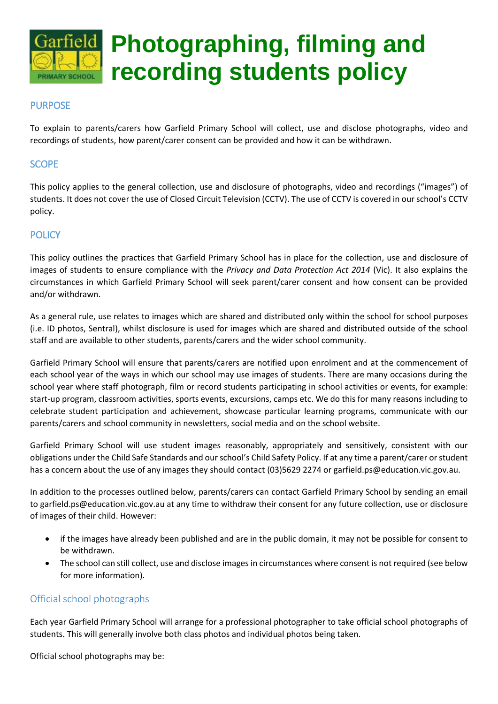

# **Photographing, filming and recording students policy**

## **PURPOSE**

To explain to parents/carers how Garfield Primary School will collect, use and disclose photographs, video and recordings of students, how parent/carer consent can be provided and how it can be withdrawn.

## **SCOPE**

This policy applies to the general collection, use and disclosure of photographs, video and recordings ("images") of students. It does not cover the use of Closed Circuit Television (CCTV). The use of CCTV is covered in our school's CCTV policy.

## **POLICY**

This policy outlines the practices that Garfield Primary School has in place for the collection, use and disclosure of images of students to ensure compliance with the *Privacy and Data Protection Act 2014* (Vic). It also explains the circumstances in which Garfield Primary School will seek parent/carer consent and how consent can be provided and/or withdrawn.

As a general rule, use relates to images which are shared and distributed only within the school for school purposes (i.e. ID photos, Sentral), whilst disclosure is used for images which are shared and distributed outside of the school staff and are available to other students, parents/carers and the wider school community.

Garfield Primary School will ensure that parents/carers are notified upon enrolment and at the commencement of each school year of the ways in which our school may use images of students. There are many occasions during the school year where staff photograph, film or record students participating in school activities or events, for example: start-up program, classroom activities, sports events, excursions, camps etc. We do this for many reasons including to celebrate student participation and achievement, showcase particular learning programs, communicate with our parents/carers and school community in newsletters, social media and on the school website.

Garfield Primary School will use student images reasonably, appropriately and sensitively, consistent with our obligations under the Child Safe Standards and our school's Child Safety Policy. If at any time a parent/carer or student has a concern about the use of any images they should contact (03)5629 2274 or garfield.ps@education.vic.gov.au.

In addition to the processes outlined below, parents/carers can contact Garfield Primary School by sending an email to garfield.ps@education.vic.gov.au at any time to withdraw their consent for any future collection, use or disclosure of images of their child. However:

- if the images have already been published and are in the public domain, it may not be possible for consent to be withdrawn.
- The school can still collect, use and disclose images in circumstances where consent is not required (see below for more information).

## Official school photographs

Each year Garfield Primary School will arrange for a professional photographer to take official school photographs of students. This will generally involve both class photos and individual photos being taken.

Official school photographs may be: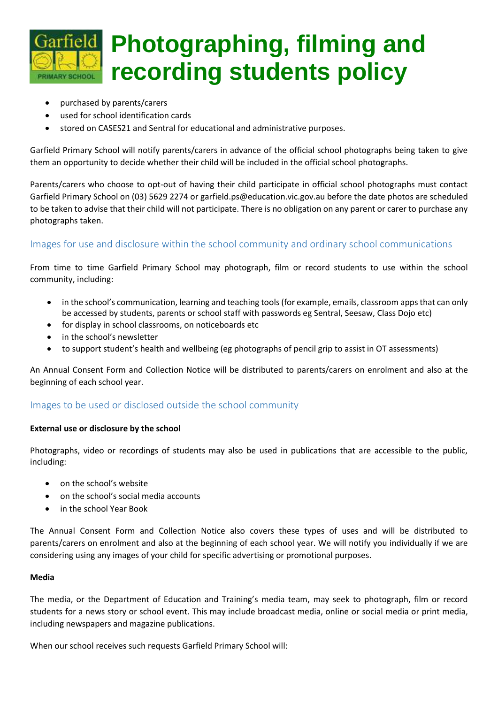

- purchased by parents/carers
- used for school identification cards
- stored on CASES21 and Sentral for educational and administrative purposes.

Garfield Primary School will notify parents/carers in advance of the official school photographs being taken to give them an opportunity to decide whether their child will be included in the official school photographs.

Parents/carers who choose to opt-out of having their child participate in official school photographs must contact Garfield Primary School on (03) 5629 2274 or garfield.ps@education.vic.gov.au before the date photos are scheduled to be taken to advise that their child will not participate. There is no obligation on any parent or carer to purchase any photographs taken.

## Images for use and disclosure within the school community and ordinary school communications

From time to time Garfield Primary School may photograph, film or record students to use within the school community, including:

- in the school's communication, learning and teaching tools (for example, emails, classroom apps that can only be accessed by students, parents or school staff with passwords eg Sentral, Seesaw, Class Dojo etc)
- for display in school classrooms, on noticeboards etc
- in the school's newsletter
- to support student's health and wellbeing (eg photographs of pencil grip to assist in OT assessments)

An Annual Consent Form and Collection Notice will be distributed to parents/carers on enrolment and also at the beginning of each school year.

# Images to be used or disclosed outside the school community

## **External use or disclosure by the school**

Photographs, video or recordings of students may also be used in publications that are accessible to the public, including:

- on the school's website
- on the school's social media accounts
- in the school Year Book

The Annual Consent Form and Collection Notice also covers these types of uses and will be distributed to parents/carers on enrolment and also at the beginning of each school year. We will notify you individually if we are considering using any images of your child for specific advertising or promotional purposes.

#### **Media**

The media, or the Department of Education and Training's media team, may seek to photograph, film or record students for a news story or school event. This may include broadcast media, online or social media or print media, including newspapers and magazine publications.

When our school receives such requests Garfield Primary School will: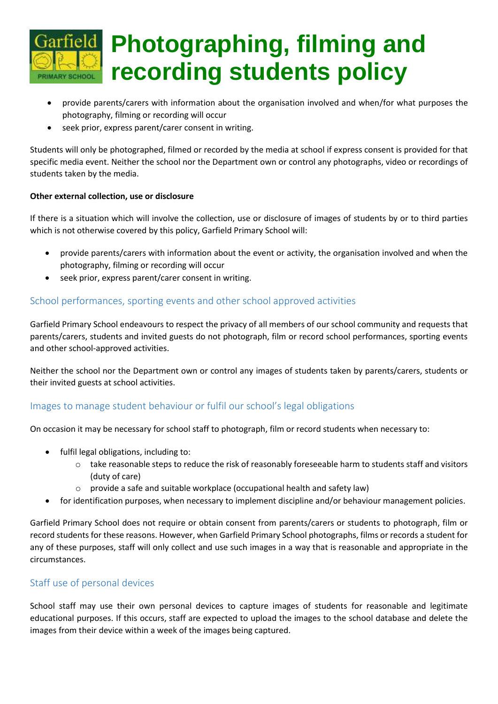

- provide parents/carers with information about the organisation involved and when/for what purposes the photography, filming or recording will occur
- seek prior, express parent/carer consent in writing.

Students will only be photographed, filmed or recorded by the media at school if express consent is provided for that specific media event. Neither the school nor the Department own or control any photographs, video or recordings of students taken by the media.

## **Other external collection, use or disclosure**

If there is a situation which will involve the collection, use or disclosure of images of students by or to third parties which is not otherwise covered by this policy, Garfield Primary School will:

- provide parents/carers with information about the event or activity, the organisation involved and when the photography, filming or recording will occur
- seek prior, express parent/carer consent in writing.

# School performances, sporting events and other school approved activities

Garfield Primary School endeavours to respect the privacy of all members of our school community and requests that parents/carers, students and invited guests do not photograph, film or record school performances, sporting events and other school-approved activities.

Neither the school nor the Department own or control any images of students taken by parents/carers, students or their invited guests at school activities.

# Images to manage student behaviour or fulfil our school's legal obligations

On occasion it may be necessary for school staff to photograph, film or record students when necessary to:

- fulfil legal obligations, including to:
	- o take reasonable steps to reduce the risk of reasonably foreseeable harm to students staff and visitors (duty of care)
	- o provide a safe and suitable workplace (occupational health and safety law)
- for identification purposes, when necessary to implement discipline and/or behaviour management policies.

Garfield Primary School does not require or obtain consent from parents/carers or students to photograph, film or record students for these reasons. However, when Garfield Primary School photographs, films or records a student for any of these purposes, staff will only collect and use such images in a way that is reasonable and appropriate in the circumstances.

## Staff use of personal devices

School staff may use their own personal devices to capture images of students for reasonable and legitimate educational purposes. If this occurs, staff are expected to upload the images to the school database and delete the images from their device within a week of the images being captured.